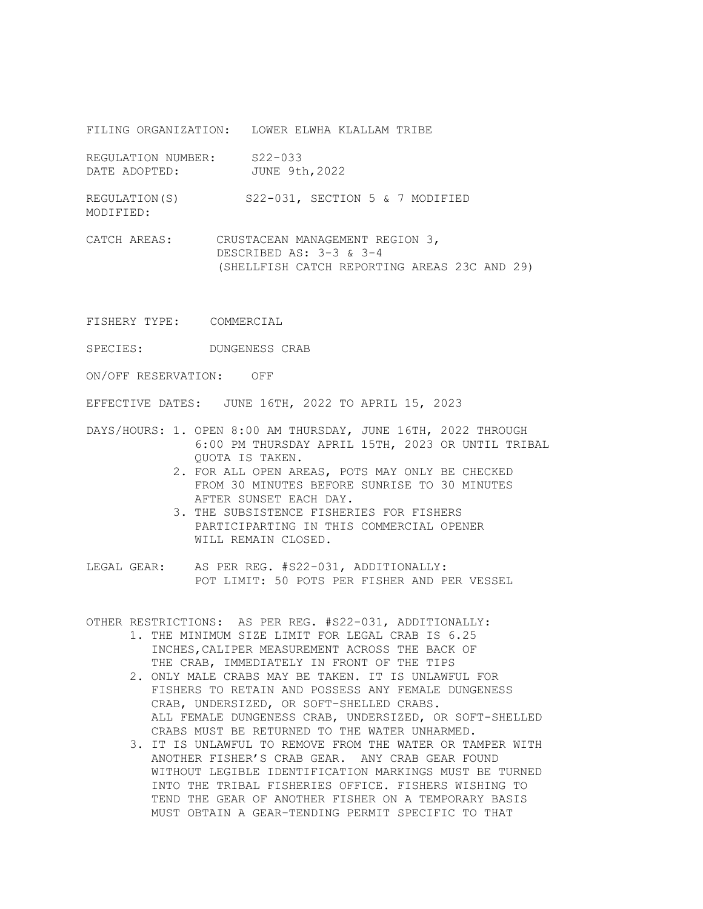FILING ORGANIZATION: LOWER ELWHA KLALLAM TRIBE

REGULATION NUMBER: S22-033 DATE ADOPTED: JUNE 9th, 2022

REGULATION(S) S22-031, SECTION 5 & 7 MODIFIED MODIFIED:

CATCH AREAS: CRUSTACEAN MANAGEMENT REGION 3, DESCRIBED AS: 3-3 & 3-4 (SHELLFISH CATCH REPORTING AREAS 23C AND 29)

FISHERY TYPE: COMMERCIAL

SPECIES: DUNGENESS CRAB

ON/OFF RESERVATION: OFF

EFFECTIVE DATES: JUNE 16TH, 2022 TO APRIL 15, 2023

- DAYS/HOURS: 1. OPEN 8:00 AM THURSDAY, JUNE 16TH, 2022 THROUGH 6:00 PM THURSDAY APRIL 15TH, 2023 OR UNTIL TRIBAL QUOTA IS TAKEN.
	- 2. FOR ALL OPEN AREAS, POTS MAY ONLY BE CHECKED FROM 30 MINUTES BEFORE SUNRISE TO 30 MINUTES AFTER SUNSET EACH DAY.
	- 3. THE SUBSISTENCE FISHERIES FOR FISHERS PARTICIPARTING IN THIS COMMERCIAL OPENER WILL REMAIN CLOSED.
- LEGAL GEAR: AS PER REG. #S22-031, ADDITIONALLY: POT LIMIT: 50 POTS PER FISHER AND PER VESSEL

OTHER RESTRICTIONS: AS PER REG. #S22-031, ADDITIONALLY:

- 1. THE MINIMUM SIZE LIMIT FOR LEGAL CRAB IS 6.25 INCHES, CALIPER MEASUREMENT ACROSS THE BACK OF THE CRAB, IMMEDIATELY IN FRONT OF THE TIPS
- 2. ONLY MALE CRABS MAY BE TAKEN. IT IS UNLAWFUL FOR FISHERS TO RETAIN AND POSSESS ANY FEMALE DUNGENESS CRAB, UNDERSIZED, OR SOFT-SHELLED CRABS. ALL FEMALE DUNGENESS CRAB, UNDERSIZED, OR SOFT-SHELLED CRABS MUST BE RETURNED TO THE WATER UNHARMED.
- 3. IT IS UNLAWFUL TO REMOVE FROM THE WATER OR TAMPER WITH ANOTHER FISHER'S CRAB GEAR. ANY CRAB GEAR FOUND WITHOUT LEGIBLE IDENTIFICATION MARKINGS MUST BE TURNED INTO THE TRIBAL FISHERIES OFFICE. FISHERS WISHING TO TEND THE GEAR OF ANOTHER FISHER ON A TEMPORARY BASIS MUST OBTAIN A GEAR-TENDING PERMIT SPECIFIC TO THAT